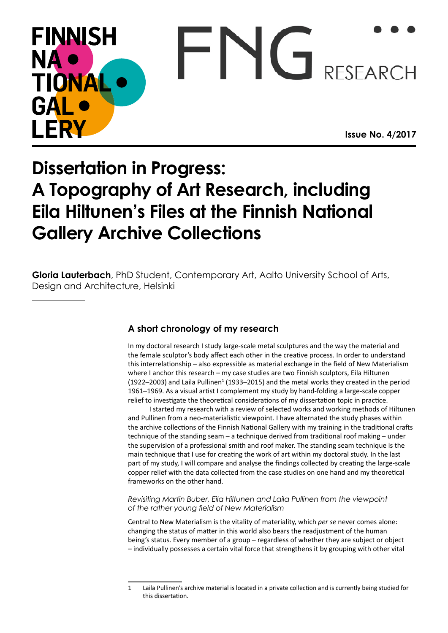# **FINNISH**  $\Gamma N$ **NA** RESEARCH TIONA GAI FR\ **Issue No. 4/2017**

# **Dissertation in Progress: A Topography of Art Research, including Eila Hiltunen's Files at the Finnish National Gallery Archive Collections**

**Gloria Lauterbach**, PhD Student, Contemporary Art, Aalto University School of Arts, Design and Architecture, Helsinki

# **A short chronology of my research**

In my doctoral research I study large-scale metal sculptures and the way the material and the female sculptor's body affect each other in the creative process. In order to understand this interrelationship – also expressible as material exchange in the field of New Materialism where I anchor this research – my case studies are two Finnish sculptors, Eila Hiltunen  $(1922-2003)$  and Laila Pullinen<sup>1</sup> (1933–2015) and the metal works they created in the period 1961–1969. As a visual artist I complement my study by hand-folding a large-scale copper relief to investigate the theoretical considerations of my dissertation topic in practice.

I started my research with a review of selected works and working methods of Hiltunen and Pullinen from a neo-materialistic viewpoint. I have alternated the study phases within the archive collections of the Finnish National Gallery with my training in the traditional crafts technique of the standing seam – a technique derived from traditional roof making – under the supervision of a professional smith and roof maker. The standing seam technique is the main technique that I use for creating the work of art within my doctoral study. In the last part of my study, I will compare and analyse the findings collected by creating the large-scale copper relief with the data collected from the case studies on one hand and my theoretical frameworks on the other hand.

#### *Revisiting Martin Buber, Eila Hiltunen and Laila Pullinen from the viewpoint of the rather young field of New Materialism*

Central to New Materialism is the vitality of materiality, which *per se* never comes alone: changing the status of matter in this world also bears the readjustment of the human being's status. Every member of a group – regardless of whether they are subject or object – individually possesses a certain vital force that strengthens it by grouping with other vital

<sup>1</sup> Laila Pullinen's archive material is located in a private collection and is currently being studied for this dissertation.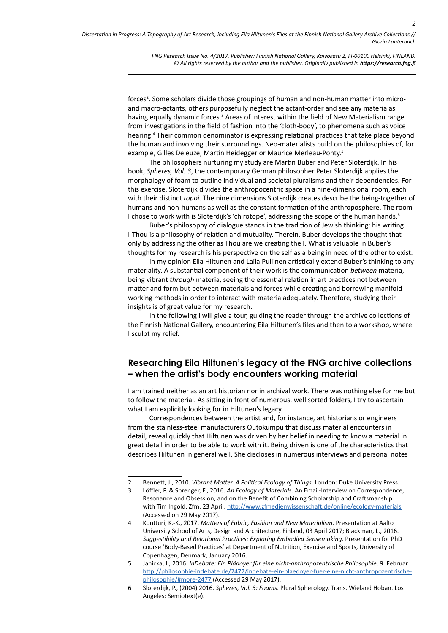*FNG Research Issue No. 4/2017. Publisher: Finnish National Gallery, Kaivokatu 2, FI-00100 Helsinki, FINLAND. © All rights reserved by the author and the publisher. Originally published in <https://research.fng.fi>*

forces<sup>2</sup>. Some scholars divide those groupings of human and non-human matter into microand macro-actants, others purposefully neglect the actant-order and see any materia as having equally dynamic forces.<sup>3</sup> Areas of interest within the field of New Materialism range from investigations in the field of fashion into the 'cloth-body', to phenomena such as voice hearing.<sup>4</sup> Their common denominator is expressing relational practices that take place beyond the human and involving their surroundings. Neo-materialists build on the philosophies of, for example, Gilles Deleuze, Martin Heidegger or Maurice Merleau-Ponty.5

The philosophers nurturing my study are Martin Buber and Peter Sloterdijk. In his book, *Spheres, Vol. 3*, the contemporary German philosopher Peter Sloterdijk applies the morphology of foam to outline individual and societal pluralisms and their dependencies. For this exercise, Sloterdijk divides the anthropocentric space in a nine-dimensional room, each with their distinct *topoi*. The nine dimensions Sloterdijk creates describe the being-together of humans and non-humans as well as the constant formation of the anthroposphere. The room I chose to work with is Sloterdijk's 'chirotope', addressing the scope of the human hands.<sup>6</sup>

Buber's philosophy of dialogue stands in the tradition of Jewish thinking: his writing I-Thou is a philosophy of relation and mutuality. Therein, Buber develops the thought that only by addressing the other as Thou are we creating the I. What is valuable in Buber's thoughts for my research is his perspective on the self as a being in need of the other to exist.

In my opinion Eila Hiltunen and Laila Pullinen artistically extend Buber's thinking to any materiality. A substantial component of their work is the communication *between* materia, being vibrant *through* materia, seeing the essential relation in art practices not between matter and form but between materials and forces while creating and borrowing manifold working methods in order to interact with materia adequately. Therefore, studying their insights is of great value for my research.

In the following I will give a tour, guiding the reader through the archive collections of the Finnish National Gallery, encountering Eila Hiltunen's files and then to a workshop, where I sculpt my relief.

## **Researching Eila Hiltunen's legacy at the FNG archive collections – when the artist's body encounters working material**

I am trained neither as an art historian nor in archival work. There was nothing else for me but to follow the material. As sitting in front of numerous, well sorted folders, I try to ascertain what I am explicitly looking for in Hiltunen's legacy.

Correspondences between the artist and, for instance, art historians or engineers from the stainless-steel manufacturers Outokumpu that discuss material encounters in detail, reveal quickly that Hiltunen was driven by her belief in needing to know a material in great detail in order to be able to work with it. Being driven is one of the characteristics that describes Hiltunen in general well. She discloses in numerous interviews and personal notes

<sup>2</sup> Bennett, J., 2010. *Vibrant Matter. A Political Ecology of Things*. London: Duke University Press.

<sup>3</sup> Löffler, P. & Sprenger, F., 2016. *An Ecology of Materials*. An Email-Interview on Correspondence, Resonance and Obsession, and on the Benefit of Combining Scholarship and Craftsmanship with Tim Ingold. Zfm. 23 April. <http://www.zfmedienwissenschaft.de/online/ecology-materials> (Accessed on 29 May 2017).

<sup>4</sup> Kontturi, K.-K., 2017. *Matters of Fabric, Fashion and New Materialism*. Presentation at Aalto University School of Arts, Design and Architecture, Finland, 03 April 2017; Blackman, L., 2016. *Suggestibility and Relational Practices: Exploring Embodied Sensemaking*. Presentation for PhD course 'Body-Based Practices' at Department of Nutrition, Exercise and Sports, University of Copenhagen, Denmark, January 2016.

<sup>5</sup> Janicka, I., 2016. *InDebate: Ein Plädoyer für eine nicht-anthropozentrische Philosophie*. 9. Februar. [http://philosophie-indebate.de/2477/indebate-ein-plaedoyer-fuer-eine-nicht-anthropozentrische](http://philosophie-indebate.de/2477/indebate-ein-plaedoyer-fuer-eine-nicht-anthropozentrische-philosophie/#more-2477)[philosophie/#more-2477](http://philosophie-indebate.de/2477/indebate-ein-plaedoyer-fuer-eine-nicht-anthropozentrische-philosophie/#more-2477) (Accessed 29 May 2017).

<sup>6</sup> Sloterdijk, P., (2004) 2016. *Spheres, Vol. 3: Foams*. Plural Spherology. Trans. Wieland Hoban. Los Angeles: Semiotext(e).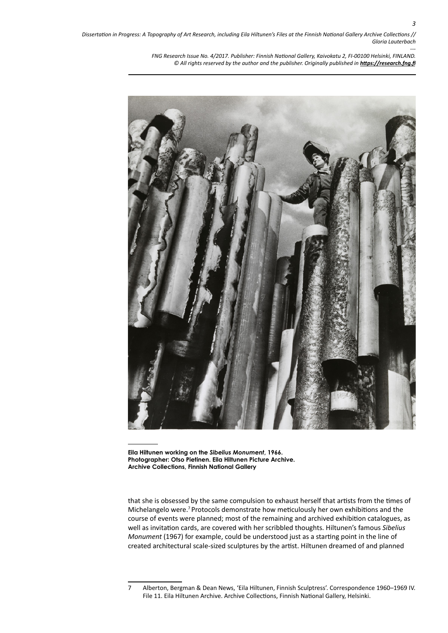> *--- FNG Research Issue No. 4/2017. Publisher: Finnish National Gallery, Kaivokatu 2, FI-00100 Helsinki, FINLAND. © All rights reserved by the author and the publisher. Originally published in <https://research.fng.fi>*



**Eila Hiltunen working on the** *Sibelius Monument***, 1966. Photographer: Otso Pietinen. Eila Hiltunen Picture Archive. Archive Collections, Finnish National Gallery**

that she is obsessed by the same compulsion to exhaust herself that artists from the times of Michelangelo were.7 Protocols demonstrate how meticulously her own exhibitions and the course of events were planned; most of the remaining and archived exhibition catalogues, as well as invitation cards, are covered with her scribbled thoughts. Hiltunen's famous *Sibelius Monument* (1967) for example, could be understood just as a starting point in the line of created architectural scale-sized sculptures by the artist. Hiltunen dreamed of and planned

<sup>7</sup> Alberton, Bergman & Dean News, 'Eila Hiltunen, Finnish Sculptress'. Correspondence 1960–1969 IV. File 11. Eila Hiltunen Archive. Archive Collections, Finnish National Gallery, Helsinki.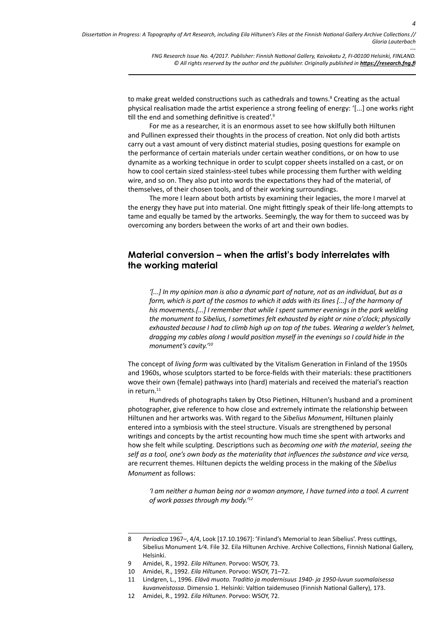*FNG Research Issue No. 4/2017. Publisher: Finnish National Gallery, Kaivokatu 2, FI-00100 Helsinki, FINLAND. © All rights reserved by the author and the publisher. Originally published in <https://research.fng.fi>*

to make great welded constructions such as cathedrals and towns.<sup>8</sup> Creating as the actual physical realisation made the artist experience a strong feeling of energy: '[...] one works right till the end and something definitive is created'.<sup>9</sup>

For me as a researcher, it is an enormous asset to see how skilfully both Hiltunen and Pullinen expressed their thoughts in the process of creation. Not only did both artists carry out a vast amount of very distinct material studies, posing questions for example on the performance of certain materials under certain weather conditions, or on how to use dynamite as a working technique in order to sculpt copper sheets installed on a cast, or on how to cool certain sized stainless-steel tubes while processing them further with welding wire, and so on. They also put into words the expectations they had of the material, of themselves, of their chosen tools, and of their working surroundings.

The more I learn about both artists by examining their legacies, the more I marvel at the energy they have put into material. One might fittingly speak of their life-long attempts to tame and equally be tamed by the artworks. Seemingly, the way for them to succeed was by overcoming any borders between the works of art and their own bodies.

### **Material conversion – when the artist's body interrelates with the working material**

*'[...] In my opinion man is also a dynamic part of nature, not as an individual, but as a form, which is part of the cosmos to which it adds with its lines [...] of the harmony of his movements.[...] I remember that while I spent summer evenings in the park welding the monument to Sibelius, I sometimes felt exhausted by eight or nine o'clock; physically exhausted because I had to climb high up on top of the tubes. Wearing a welder's helmet, dragging my cables along I would position myself in the evenings so I could hide in the monument's cavity.'10*

The concept of *living form* was cultivated by the Vitalism Generation in Finland of the 1950s and 1960s, whose sculptors started to be force-fields with their materials: these practitioners wove their own (female) pathways into (hard) materials and received the material's reaction in return.<sup>11</sup>

Hundreds of photographs taken by Otso Pietinen, Hiltunen's husband and a prominent photographer, give reference to how close and extremely intimate the relationship between Hiltunen and her artworks was. With regard to the *Sibelius Monument*, Hiltunen plainly entered into a symbiosis with the steel structure. Visuals are strengthened by personal writings and concepts by the artist recounting how much time she spent with artworks and how she felt while sculpting. Descriptions such as *becoming one with the material*, *seeing the self as a tool, one's own body as the materiality that influences the substance and vice versa,* are recurrent themes. Hiltunen depicts the welding process in the making of the *Sibelius Monument* as follows:

*'I am neither a human being nor a woman anymore, I have turned into a tool. A current of work passes through my body.'12*

<sup>8</sup> *Periodica* 1967–, 4/4, Look [17.10.1967]: 'Finland's Memorial to Jean Sibelius'. Press cuttings, Sibelius Monument 1⁄4. File 32. Eila Hiltunen Archive. Archive Collections, Finnish National Gallery, Helsinki.

<sup>9</sup> Amidei, R., 1992. *Eila Hiltunen*. Porvoo: WSOY, 73.

<sup>10</sup> Amidei, R., 1992. *Eila Hiltunen*. Porvoo: WSOY, 71–72.

<sup>11</sup> Lindgren, L., 1996. *Elävä muoto. Traditio ja modernisuus 1940- ja 1950-luvun suomalaisessa kuvanveistossa*. Dimensio 1. Helsinki: Valtion taidemuseo (Finnish National Gallery), 173.

<sup>12</sup> Amidei, R., 1992*. Eila Hiltunen*. Porvoo: WSOY, 72.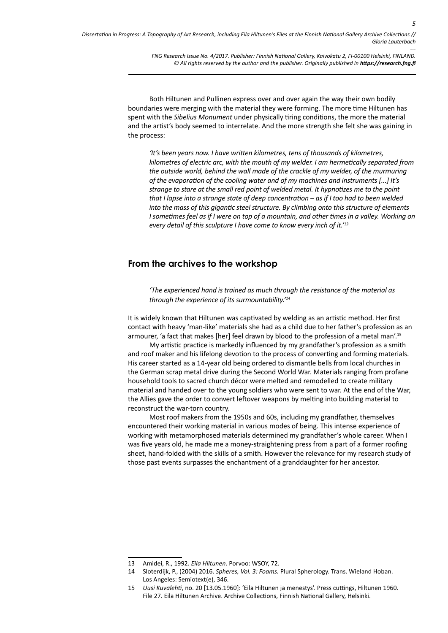> *FNG Research Issue No. 4/2017. Publisher: Finnish National Gallery, Kaivokatu 2, FI-00100 Helsinki, FINLAND. © All rights reserved by the author and the publisher. Originally published in <https://research.fng.fi>*

Both Hiltunen and Pullinen express over and over again the way their own bodily boundaries were merging with the material they were forming. The more time Hiltunen has spent with the *Sibelius Monument* under physically tiring conditions, the more the material and the artist's body seemed to interrelate. And the more strength she felt she was gaining in the process:

*'It's been years now. I have written kilometres, tens of thousands of kilometres, kilometres of electric arc, with the mouth of my welder. I am hermetically separated from the outside world, behind the wall made of the crackle of my welder, of the murmuring of the evaporation of the cooling water and of my machines and instruments [...] It's strange to stare at the small red point of welded metal. It hypnotizes me to the point that I lapse into a strange state of deep concentration – as if I too had to been welded into the mass of this gigantic steel structure. By climbing onto this structure of elements I* sometimes feel as if I were on top of a mountain, and other times in a valley. Working on *every detail of this sculpture I have come to know every inch of it.'13*

#### **From the archives to the workshop**

*'The experienced hand is trained as much through the resistance of the material as through the experience of its surmountability.'14*

It is widely known that Hiltunen was captivated by welding as an artistic method. Her first contact with heavy 'man-like' materials she had as a child due to her father's profession as an armourer, 'a fact that makes [her] feel drawn by blood to the profession of a metal man'.15

My artistic practice is markedly influenced by my grandfather's profession as a smith and roof maker and his lifelong devotion to the process of converting and forming materials. His career started as a 14-year old being ordered to dismantle bells from local churches in the German scrap metal drive during the Second World War. Materials ranging from profane household tools to sacred church décor were melted and remodelled to create military material and handed over to the young soldiers who were sent to war. At the end of the War, the Allies gave the order to convert leftover weapons by melting into building material to reconstruct the war-torn country.

Most roof makers from the 1950s and 60s, including my grandfather, themselves encountered their working material in various modes of being. This intense experience of working with metamorphosed materials determined my grandfather's whole career. When I was five years old, he made me a money-straightening press from a part of a former roofing sheet, hand-folded with the skills of a smith. However the relevance for my research study of those past events surpasses the enchantment of a granddaughter for her ancestor.

<sup>13</sup> Amidei, R., 1992. *Eila Hiltunen*. Porvoo: WSOY, 72.

<sup>14</sup> Sloterdijk, P., (2004) 2016. *Spheres, Vol. 3: Foams.* Plural Spherology. Trans. Wieland Hoban. Los Angeles: Semiotext(e), 346.

<sup>15</sup> *Uusi Kuvalehti*, no. 20 [13.05.1960]: 'Eila Hiltunen ja menestys'. Press cuttings, Hiltunen 1960. File 27. Eila Hiltunen Archive. Archive Collections, Finnish National Gallery, Helsinki.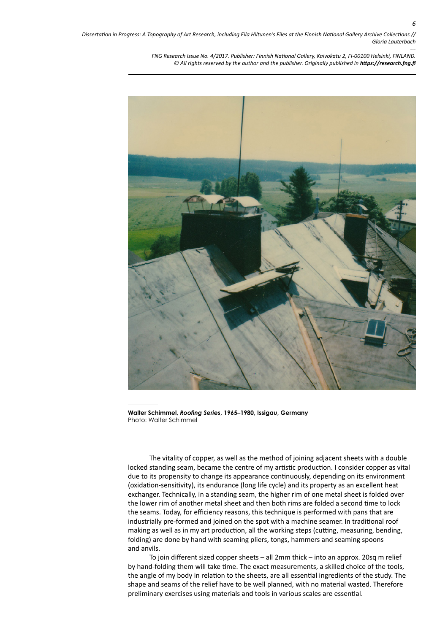> *FNG Research Issue No. 4/2017. Publisher: Finnish National Gallery, Kaivokatu 2, FI-00100 Helsinki, FINLAND.* © All rights reserved by the author and the publisher. Originally published in **<https://research.fng.fi>**



**Walter Schimmel,** *Roofing Series***, 1965–1980, Issigau, Germany**  Photo: Walter Schimmel

The vitality of copper, as well as the method of joining adjacent sheets with a double locked standing seam, became the centre of my artistic production. I consider copper as vital due to its propensity to change its appearance continuously, depending on its environment (oxidation-sensitivity), its endurance (long life cycle) and its property as an excellent heat exchanger. Technically, in a standing seam, the higher rim of one metal sheet is folded over the lower rim of another metal sheet and then both rims are folded a second time to lock the seams. Today, for efficiency reasons, this technique is performed with pans that are industrially pre-formed and joined on the spot with a machine seamer. In traditional roof making as well as in my art production, all the working steps (cutting, measuring, bending, folding) are done by hand with seaming pliers, tongs, hammers and seaming spoons and anvils.

To join different sized copper sheets – all 2mm thick – into an approx. 20sq m relief by hand-folding them will take time. The exact measurements, a skilled choice of the tools, the angle of my body in relation to the sheets, are all essential ingredients of the study. The shape and seams of the relief have to be well planned, with no material wasted. Therefore preliminary exercises using materials and tools in various scales are essential.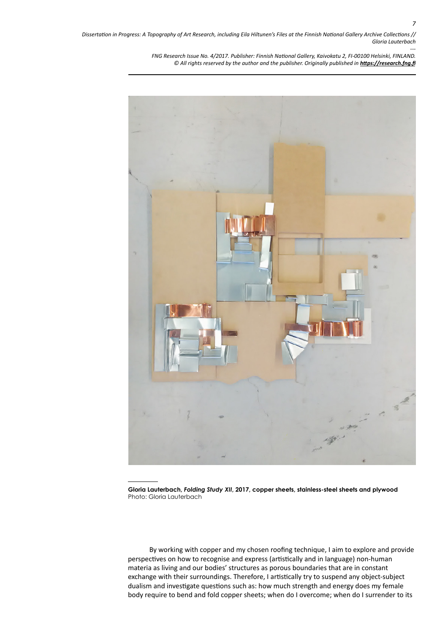> *FNG Research Issue No. 4/2017. Publisher: Finnish National Gallery, Kaivokatu 2, FI-00100 Helsinki, FINLAND. © All rights reserved by the author and the publisher. Originally published in <https://research.fng.fi>*



**Gloria Lauterbach,** *Folding Study XII***, 2017, copper sheets, stainless-steel sheets and plywood** Photo: Gloria Lauterbach

By working with copper and my chosen roofing technique, I aim to explore and provide perspectives on how to recognise and express (artistically and in language) non-human materia as living and our bodies' structures as porous boundaries that are in constant exchange with their surroundings. Therefore, I artistically try to suspend any object-subject dualism and investigate questions such as: how much strength and energy does my female body require to bend and fold copper sheets; when do I overcome; when do I surrender to its